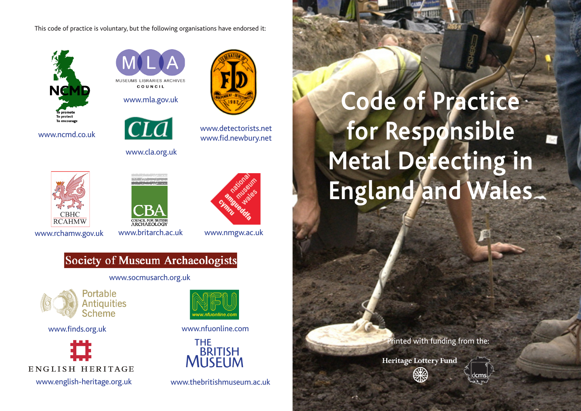This code of practice is voluntary, but the following organisations have endorsed it:



www.ncmd.co.uk



www.mla.gov.uk





## www.cla.org.uk

www.detectorists.net www.fid.newbury.net

# **CBHC RCAHMW**



www.britarch.ac.uk www.rchamw.gov.uk www.britarch.ac.uk www.nmgw.ac.uk



### Society of Museum Archaeologists

www.socmusarch.org.uk



www.finds.org.uk



www.nfuonline.coi

www.nfuonline.com



www.thebritishmuseum.ac.uk

**Code of Practice for Responsible Metal Detecting in England and Wales**

Printed with funding from the:

**Heritage Lottery Fund**